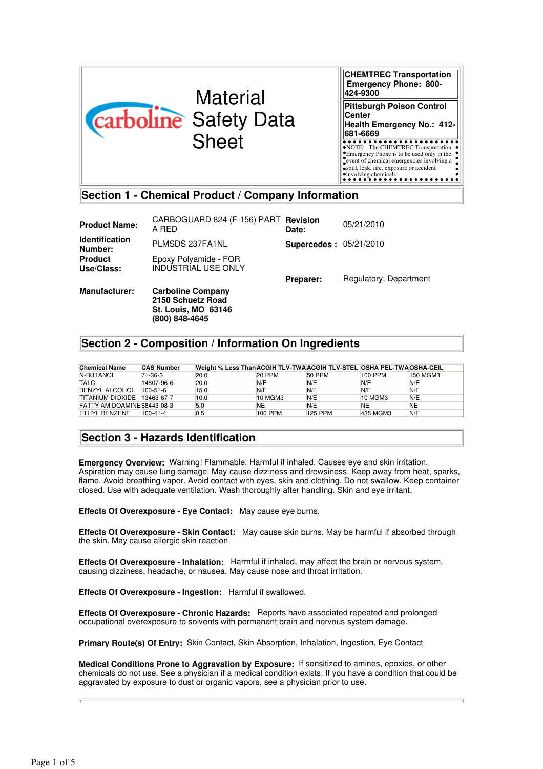

**CHEMTREC Transportation Emergency Phone: 800- 424-9300 Pittsburgh Poison Control Center Health Emergency No.: 412- 681-6669** NOTE: The CHEMTREC Transportation Emergency Phone is to be used only in the event of chemical emergencies involving a spill, leak, fire, exposure or accident involving chemicals

# **Section 1 - Chemical Product / Company Information**

| <b>Product Name:</b>             | CARBOGUARD 824 (F-156) PART Revision<br>A RED                                                 | Date:                         | 05/21/2010             |
|----------------------------------|-----------------------------------------------------------------------------------------------|-------------------------------|------------------------|
| <b>Identification</b><br>Number: | PLMSDS 237FA1NL                                                                               | <b>Supercedes: 05/21/2010</b> |                        |
| <b>Product</b><br>Use/Class:     | Epoxy Polyamide - FOR<br><b>INDUSTRIAL USE ONLY</b>                                           |                               |                        |
|                                  |                                                                                               | Preparer:                     | Regulatory, Department |
| <b>Manufacturer:</b>             | <b>Carboline Company</b><br>2150 Schuetz Road<br><b>St. Louis, MO 63146</b><br>(800) 848-4645 |                               |                        |

# **Section 2 - Composition / Information On Ingredients**

| <b>Chemical Name</b>        | <b>CAS Number</b> | Weight % Less Than ACGIH TLV-TWA ACGIH TLV-STEL OSHA PEL-TWA OSHA-CEIL |               |                |          |           |
|-----------------------------|-------------------|------------------------------------------------------------------------|---------------|----------------|----------|-----------|
| N-BUTANOL                   | 71-36-3           | 20.0                                                                   | <b>20 PPM</b> | 50 PPM         | 100 PPM  | 150 MGM3  |
| <b>TALC</b>                 | 14807-96-6        | 20.0                                                                   | N/E           | N/E            | N/E      | N/E       |
| <b>BENZYL ALCOHOL</b>       | $100 - 51 - 6$    | 15.0                                                                   | N/E           | N/E            | N/E      | N/E       |
| TITANIUM DIOXIDE 13463-67-7 |                   | 10.0                                                                   | 10 MGM3       | N/E            | 10 MGM3  | N/E       |
| FATTY AMIDOAMINE 68443-08-3 |                   | 5.0                                                                    | NE            | N/E            | NE       | <b>NE</b> |
| <b>ETHYL BENZENE</b>        | $100 - 41 - 4$    | 0.5                                                                    | 100 PPM       | <b>125 PPM</b> | 435 MGM3 | N/E       |

# **Section 3 - Hazards Identification**

**Emergency Overview:** Warning! Flammable. Harmful if inhaled. Causes eye and skin irritation. Aspiration may cause lung damage. May cause dizziness and drowsiness. Keep away from heat, sparks, flame. Avoid breathing vapor. Avoid contact with eyes, skin and clothing. Do not swallow. Keep container closed. Use with adequate ventilation. Wash thoroughly after handling. Skin and eye irritant.

**Effects Of Overexposure - Eye Contact:** May cause eye burns.

**Effects Of Overexposure - Skin Contact:** May cause skin burns. May be harmful if absorbed through the skin. May cause allergic skin reaction.

**Effects Of Overexposure - Inhalation:** Harmful if inhaled, may affect the brain or nervous system, causing dizziness, headache, or nausea. May cause nose and throat irritation.

**Effects Of Overexposure - Ingestion:** Harmful if swallowed.

**Effects Of Overexposure - Chronic Hazards:** Reports have associated repeated and prolonged occupational overexposure to solvents with permanent brain and nervous system damage.

**Primary Route(s) Of Entry:** Skin Contact, Skin Absorption, Inhalation, Ingestion, Eye Contact

**Medical Conditions Prone to Aggravation by Exposure:** If sensitized to amines, epoxies, or other chemicals do not use. See a physician if a medical condition exists. If you have a condition that could be aggravated by exposure to dust or organic vapors, see a physician prior to use.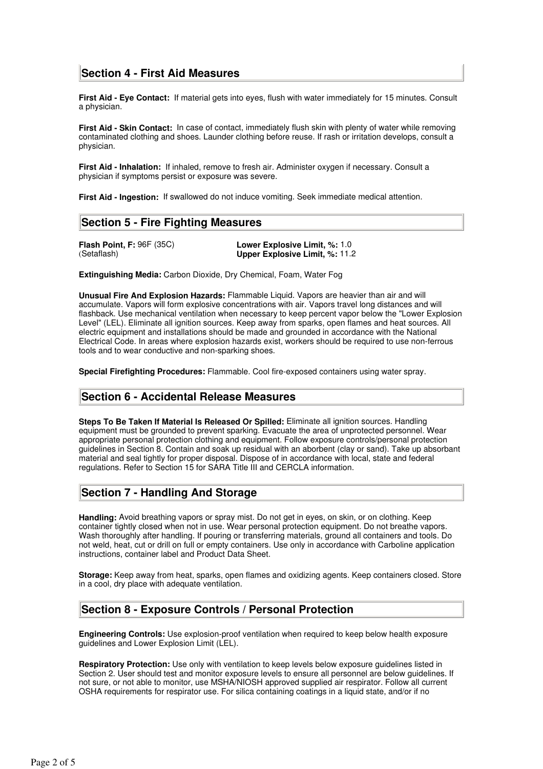# **Section 4 - First Aid Measures**

**First Aid - Eye Contact:** If material gets into eyes, flush with water immediately for 15 minutes. Consult a physician.

**First Aid - Skin Contact:** In case of contact, immediately flush skin with plenty of water while removing contaminated clothing and shoes. Launder clothing before reuse. If rash or irritation develops, consult a physician.

**First Aid - Inhalation:** If inhaled, remove to fresh air. Administer oxygen if necessary. Consult a physician if symptoms persist or exposure was severe.

**First Aid - Ingestion:** If swallowed do not induce vomiting. Seek immediate medical attention.

## **Section 5 - Fire Fighting Measures**

**Flash Point, F:** 96F (35C) **Lower Explosive Limit, %: 1.0**<br>(Setaflash) **Upper Explosive Limit, %: 11. Upper Explosive Limit, %: 11.2** 

**Extinguishing Media:** Carbon Dioxide, Dry Chemical, Foam, Water Fog

**Unusual Fire And Explosion Hazards:** Flammable Liquid. Vapors are heavier than air and will accumulate. Vapors will form explosive concentrations with air. Vapors travel long distances and will flashback. Use mechanical ventilation when necessary to keep percent vapor below the "Lower Explosion Level" (LEL). Eliminate all ignition sources. Keep away from sparks, open flames and heat sources. All electric equipment and installations should be made and grounded in accordance with the National Electrical Code. In areas where explosion hazards exist, workers should be required to use non-ferrous tools and to wear conductive and non-sparking shoes.

**Special Firefighting Procedures:** Flammable. Cool fire-exposed containers using water spray.

# **Section 6 - Accidental Release Measures**

**Steps To Be Taken If Material Is Released Or Spilled:** Eliminate all ignition sources. Handling equipment must be grounded to prevent sparking. Evacuate the area of unprotected personnel. Wear appropriate personal protection clothing and equipment. Follow exposure controls/personal protection guidelines in Section 8. Contain and soak up residual with an aborbent (clay or sand). Take up absorbant material and seal tightly for proper disposal. Dispose of in accordance with local, state and federal regulations. Refer to Section 15 for SARA Title III and CERCLA information.

# **Section 7 - Handling And Storage**

**Handling:** Avoid breathing vapors or spray mist. Do not get in eyes, on skin, or on clothing. Keep container tightly closed when not in use. Wear personal protection equipment. Do not breathe vapors. Wash thoroughly after handling. If pouring or transferring materials, ground all containers and tools. Do not weld, heat, cut or drill on full or empty containers. Use only in accordance with Carboline application instructions, container label and Product Data Sheet.

**Storage:** Keep away from heat, sparks, open flames and oxidizing agents. Keep containers closed. Store in a cool, dry place with adequate ventilation.

# **Section 8 - Exposure Controls / Personal Protection**

**Engineering Controls:** Use explosion-proof ventilation when required to keep below health exposure guidelines and Lower Explosion Limit (LEL).

**Respiratory Protection:** Use only with ventilation to keep levels below exposure guidelines listed in Section 2. User should test and monitor exposure levels to ensure all personnel are below guidelines. If not sure, or not able to monitor, use MSHA/NIOSH approved supplied air respirator. Follow all current OSHA requirements for respirator use. For silica containing coatings in a liquid state, and/or if no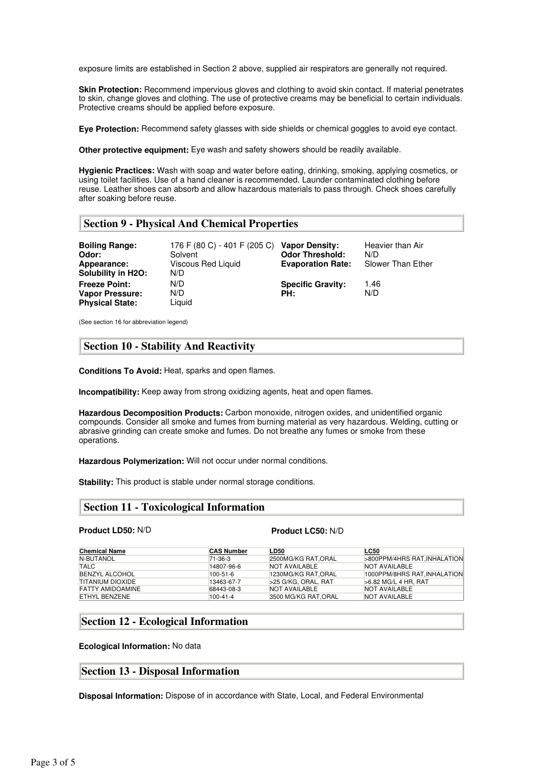exposure limits are established in Section 2 above, supplied air respirators are generally not required.

**Skin Protection:** Recommend impervious gloves and clothing to avoid skin contact. If material penetrates to skin, change gloves and clothing. The use of protective creams may be beneficial to certain individuals. Protective creams should be applied before exposure.

**Eye Protection:** Recommend safety glasses with side shields or chemical goggles to avoid eye contact.

**Other protective equipment:** Eye wash and safety showers should be readily available.

**Hygienic Practices:** Wash with soap and water before eating, drinking, smoking, applying cosmetics, or using toilet facilities. Use of a hand cleaner is recommended. Launder contaminated clothing before reuse. Leather shoes can absorb and allow hazardous materials to pass through. Check shoes carefully after soaking before reuse.

## **Section 9 - Physical And Chemical Properties**

| <b>Boiling Range:</b><br>Odor:<br>Appearance:<br>Solubility in H2O: | 176 F (80 C) - 401 F (205 C)<br>Solvent<br>Viscous Red Liquid<br>N/D | <b>Vapor Density:</b><br><b>Odor Threshold:</b><br><b>Evaporation Rate:</b> | Heavier than Air<br>N/D<br>Slower Than Ether |
|---------------------------------------------------------------------|----------------------------------------------------------------------|-----------------------------------------------------------------------------|----------------------------------------------|
| <b>Freeze Point:</b><br>Vapor Pressure:<br><b>Physical State:</b>   | N/D<br>N/D<br>Liguid                                                 | <b>Specific Gravity:</b><br>PH:                                             | 1.46<br>N/D                                  |

(See section 16 for abbreviation legend)

## **Section 10 - Stability And Reactivity**

**Conditions To Avoid:** Heat, sparks and open flames.

**Incompatibility:** Keep away from strong oxidizing agents, heat and open flames.

**Hazardous Decomposition Products:** Carbon monoxide, nitrogen oxides, and unidentified organic compounds. Consider all smoke and fumes from burning material as very hazardous. Welding, cutting or abrasive grinding can create smoke and fumes. Do not breathe any fumes or smoke from these operations.

**Hazardous Polymerization:** Will not occur under normal conditions.

**Stability:** This product is stable under normal storage conditions.

## **Section 11 - Toxicological Information**

#### **Product LD50:** N/D **Product LC50:** N/D

| <b>Chemical Name</b>    | <b>CAS Number</b> | LD50                 | <b>LC50</b>                  |
|-------------------------|-------------------|----------------------|------------------------------|
| N-BUTANOL               | 71-36-3           | 2500MG/KG RAT, ORAL  | >800PPM/4HRS RAT, INHALATION |
| <b>TALC</b>             | 14807-96-6        | <b>NOT AVAILABLE</b> | NOT AVAILABLE                |
| <b>BENZYL ALCOHOL</b>   | $100 - 51 - 6$    | 1230MG/KG RAT.ORAL   | 1000PPM/8HRS RAT. INHALATION |
| TITANIUM DIOXIDE        | 13463-67-7        | >25 G/KG. ORAL. RAT  | $>6.82$ MG/L 4 HR. RAT       |
| <b>FATTY AMIDOAMINE</b> | 68443-08-3        | NOT AVAILABLE        | NOT AVAILABLE                |
| ETHYL BENZENE           | $100 - 41 - 4$    | 3500 MG/KG RAT.ORAL  | <b>NOT AVAILABLE</b>         |

## **Section 12 - Ecological Information**

**Ecological Information:** No data

## **Section 13 - Disposal Information**

**Disposal Information:** Dispose of in accordance with State, Local, and Federal Environmental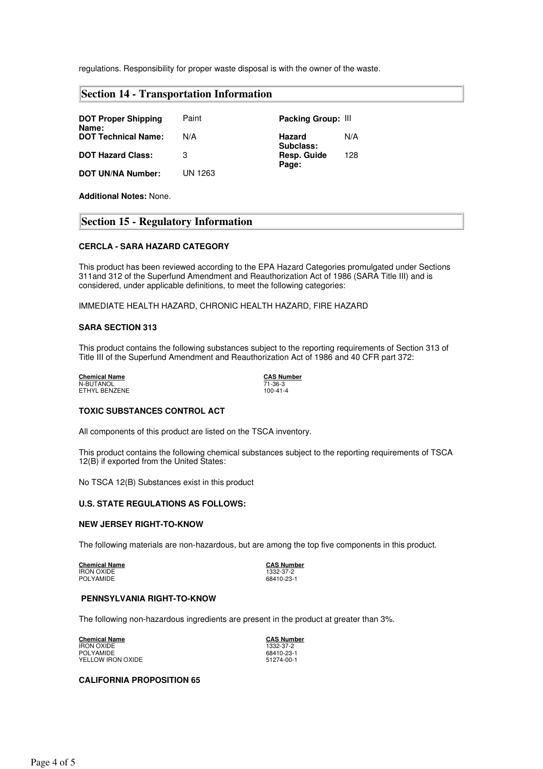regulations. Responsibility for proper waste disposal is with the owner of the waste.

| <b>DOT Proper Shipping</b><br>Name: | Paint   | Packing Group: III          |
|-------------------------------------|---------|-----------------------------|
| <b>DOT Technical Name:</b>          | N/A     | N/A<br>Hazard<br>Subclass:  |
| <b>DOT Hazard Class:</b>            | З       | 128<br>Resp. Guide<br>Page: |
| <b>DOT UN/NA Number:</b>            | UN 1263 |                             |

**Additional Notes:** None.

## **Section 15 - Regulatory Information**

## **CERCLA - SARA HAZARD CATEGORY**

This product has been reviewed according to the EPA Hazard Categories promulgated under Sections 311and 312 of the Superfund Amendment and Reauthorization Act of 1986 (SARA Title III) and is considered, under applicable definitions, to meet the following categories:

IMMEDIATE HEALTH HAZARD, CHRONIC HEALTH HAZARD, FIRE HAZARD

#### **SARA SECTION 313**

This product contains the following substances subject to the reporting requirements of Section 313 of Title III of the Superfund Amendment and Reauthorization Act of 1986 and 40 CFR part 372:

**Chemical Name**<br>
N-BUTANOL<br>
ETHYL BENZENE<br> **CAS Number**<br>
T1-36-3<br>
100-41-4 N-BUTANOL 71-36-3 ETHYL BENZENE 100-41-4

## **TOXIC SUBSTANCES CONTROL ACT**

All components of this product are listed on the TSCA inventory.

This product contains the following chemical substances subject to the reporting requirements of TSCA 12(B) if exported from the United States:

No TSCA 12(B) Substances exist in this product

## **U.S. STATE REGULATIONS AS FOLLOWS:**

## **NEW JERSEY RIGHT-TO-KNOW**

The following materials are non-hazardous, but are among the top five components in this product.

**Chemical Name CAS Number** IRON OXIDE 1332-37-2 POLYAMIDE 68410-23-1

## **PENNSYLVANIA RIGHT-TO-KNOW**

The following non-hazardous ingredients are present in the product at greater than 3%.

**Chemical Name CAS Number** IRON OXIDE 1332-37-2 POLYAMIDE 68410-23-1<br>
YELLOW IRON OXIDE 51274-00-1 YELLOW IRON OXIDE

## **CALIFORNIA PROPOSITION 65**